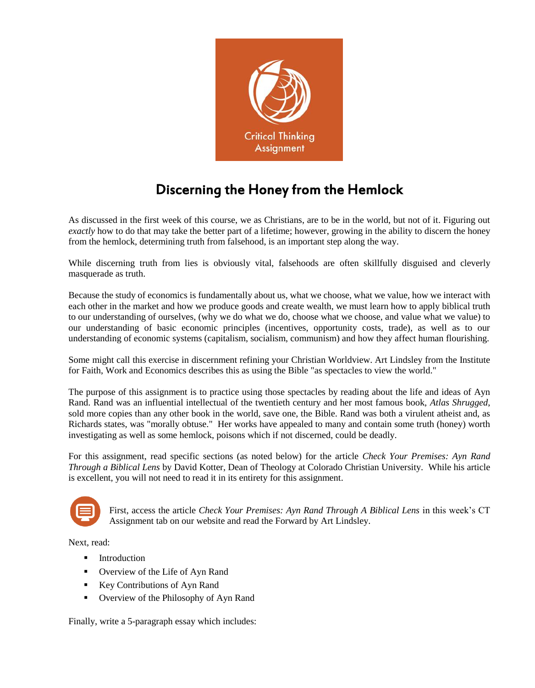

## Discerning the Honey from the Hemlock

As discussed in the first week of this course, we as Christians, are to be in the world, but not of it. Figuring out *exactly* how to do that may take the better part of a lifetime; however, growing in the ability to discern the honey from the hemlock, determining truth from falsehood, is an important step along the way.

While discerning truth from lies is obviously vital, falsehoods are often skillfully disguised and cleverly masquerade as truth.

Because the study of economics is fundamentally about us, what we choose, what we value, how we interact with each other in the market and how we produce goods and create wealth, we must learn how to apply biblical truth to our understanding of ourselves, (why we do what we do, choose what we choose, and value what we value) to our understanding of basic economic principles (incentives, opportunity costs, trade), as well as to our understanding of economic systems (capitalism, socialism, communism) and how they affect human flourishing.

Some might call this exercise in discernment refining your Christian Worldview. Art Lindsley from the Institute for Faith, Work and Economics describes this as using the Bible "as spectacles to view the world."

The purpose of this assignment is to practice using those spectacles by reading about the life and ideas of Ayn Rand. Rand was an influential intellectual of the twentieth century and her most famous book, *Atlas Shrugged*, sold more copies than any other book in the world, save one, the Bible. Rand was both a virulent atheist and, as Richards states, was "morally obtuse." Her works have appealed to many and contain some truth (honey) worth investigating as well as some hemlock, poisons which if not discerned, could be deadly.

For this assignment, read specific sections (as noted below) for the article *Check Your Premises: Ayn Rand Through a Biblical Lens* by David Kotter, Dean of Theology at Colorado Christian University. While his article is excellent, you will not need to read it in its entirety for this assignment.



First, access the article *Check Your Premises: Ayn Rand Through A Biblical Lens* in this week's CT Assignment tab on our website and read the Forward by Art Lindsley.

Next, read:

- **Introduction**
- Overview of the Life of Ayn Rand
- Key Contributions of Ayn Rand
- Overview of the Philosophy of Ayn Rand

Finally, write a 5-paragraph essay which includes: